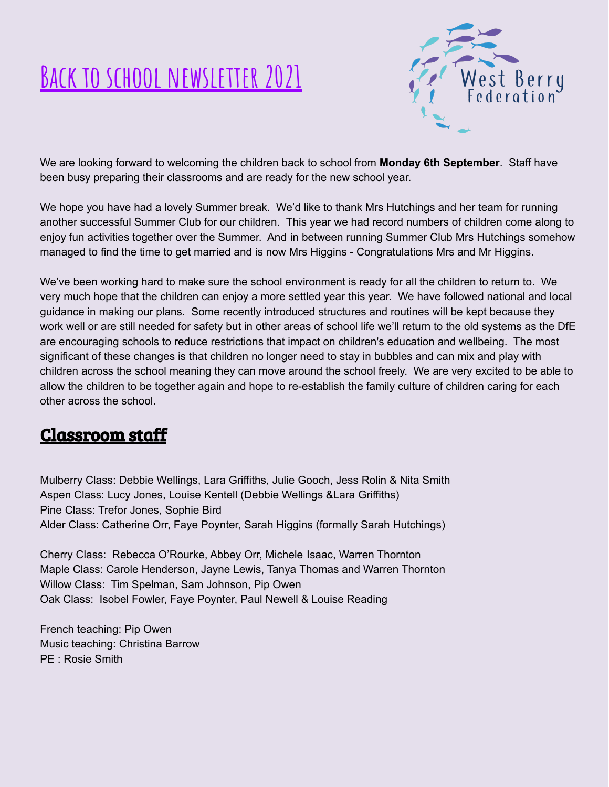# **Back to school newsletter 2021**



We are looking forward to welcoming the children back to school from **Monday 6th September**. Staff have been busy preparing their classrooms and are ready for the new school year.

We hope you have had a lovely Summer break. We'd like to thank Mrs Hutchings and her team for running another successful Summer Club for our children. This year we had record numbers of children come along to enjoy fun activities together over the Summer. And in between running Summer Club Mrs Hutchings somehow managed to find the time to get married and is now Mrs Higgins - Congratulations Mrs and Mr Higgins.

We've been working hard to make sure the school environment is ready for all the children to return to. We very much hope that the children can enjoy a more settled year this year. We have followed national and local guidance in making our plans. Some recently introduced structures and routines will be kept because they work well or are still needed for safety but in other areas of school life we'll return to the old systems as the DfE are encouraging schools to reduce restrictions that impact on children's education and wellbeing. The most significant of these changes is that children no longer need to stay in bubbles and can mix and play with children across the school meaning they can move around the school freely. We are very excited to be able to allow the children to be together again and hope to re-establish the family culture of children caring for each other across the school.

### Classroom staff

Mulberry Class: Debbie Wellings, Lara Griffiths, Julie Gooch, Jess Rolin & Nita Smith Aspen Class: Lucy Jones, Louise Kentell (Debbie Wellings &Lara Griffiths) Pine Class: Trefor Jones, Sophie Bird Alder Class: Catherine Orr, Faye Poynter, Sarah Higgins (formally Sarah Hutchings)

Cherry Class: Rebecca O'Rourke, Abbey Orr, Michele Isaac, Warren Thornton Maple Class: Carole Henderson, Jayne Lewis, Tanya Thomas and Warren Thornton Willow Class: Tim Spelman, Sam Johnson, Pip Owen Oak Class: Isobel Fowler, Faye Poynter, Paul Newell & Louise Reading

French teaching: Pip Owen Music teaching: Christina Barrow PE : Rosie Smith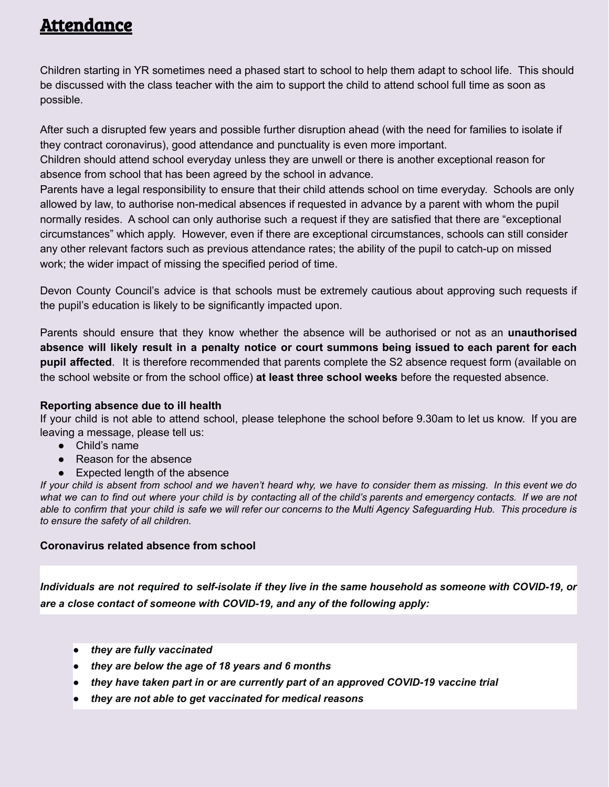### Attendance

Children starting in YR sometimes need a phased start to school to help them adapt to school life. This should be discussed with the class teacher with the aim to support the child to attend school full time as soon as possible.

After such a disrupted few years and possible further disruption ahead (with the need for families to isolate if they contract coronavirus), good attendance and punctuality is even more important.

Children should attend school everyday unless they are unwell or there is another exceptional reason for absence from school that has been agreed by the school in advance.

Parents have a legal responsibility to ensure that their child attends school on time everyday. Schools are only allowed by law, to authorise non-medical absences if requested in advance by a parent with whom the pupil normally resides. A school can only authorise such a request if they are satisfied that there are "exceptional circumstances" which apply. However, even if there are exceptional circumstances, schools can still consider any other relevant factors such as previous attendance rates; the ability of the pupil to catch-up on missed work; the wider impact of missing the specified period of time.

Devon County Council's advice is that schools must be extremely cautious about approving such requests if the pupil's education is likely to be significantly impacted upon.

Parents should ensure that they know whether the absence will be authorised or not as an **unauthorised** absence will likely result in a penalty notice or court summons being issued to each parent for each **pupil affected**. It is therefore recommended that parents complete the S2 absence request form (available on the school website or from the school office) **at least three school weeks** before the requested absence.

#### **Reporting absence due to ill health**

If your child is not able to attend school, please telephone the school before 9.30am to let us know. If you are leaving a message, please tell us:

- Child's name
- Reason for the absence
- Expected length of the absence

If your child is absent from school and we haven't heard why, we have to consider them as missing. In this event we do what we can to find out where your child is by contacting all of the child's parents and emergency contacts. If we are not able to confirm that your child is safe we will refer our concerns to the Multi Agency Safeguarding Hub. This procedure is *to ensure the safety of all children.*

#### **Coronavirus related absence from school**

Individuals are not required to self-isolate if they live in the same household as someone with COVID-19, or *are a close contact of someone with COVID-19, and any of the following apply:*

- *● they are fully vaccinated*
- *● they are below the age of 18 years and 6 months*
- *● they have taken part in or are currently part of an approved COVID-19 vaccine trial*
- *● they are not able to get vaccinated for medical reasons*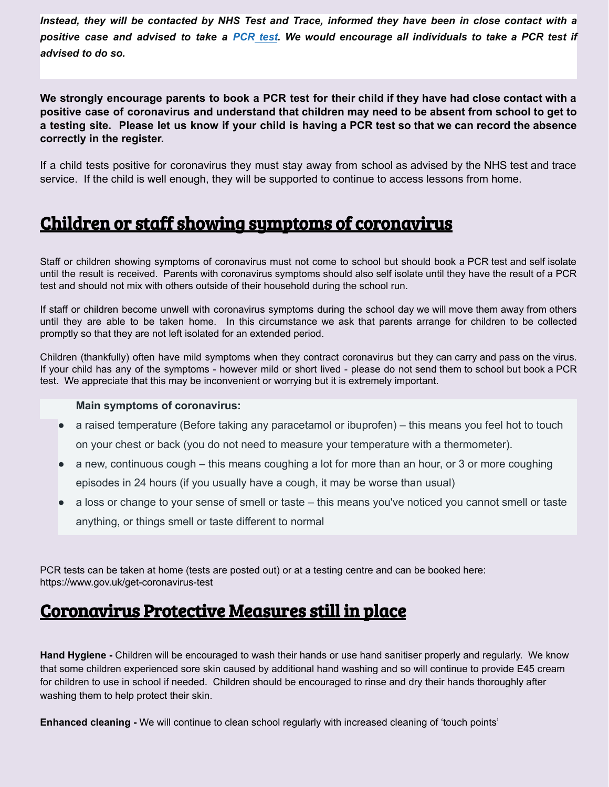Instead, they will be contacted by NHS Test and Trace, informed they have been in close contact with a positive case and advised to take a [PCR](https://www.gov.uk/get-coronavirus-test) test. We would encourage all individuals to take a PCR test if *advised to do so.*

We strongly encourage parents to book a PCR test for their child if they have had close contact with a positive case of coronavirus and understand that children may need to be absent from school to get to a testing site. Please let us know if your child is having a PCR test so that we can record the absence **correctly in the register.**

If a child tests positive for coronavirus they must stay away from school as advised by the NHS test and trace service. If the child is well enough, they will be supported to continue to access lessons from home.

#### Children or staff showing symptoms of coronavirus

Staff or children showing symptoms of coronavirus must not come to school but should book a PCR test and self isolate until the result is received. Parents with coronavirus symptoms should also self isolate until they have the result of a PCR test and should not mix with others outside of their household during the school run.

If staff or children become unwell with coronavirus symptoms during the school day we will move them away from others until they are able to be taken home. In this circumstance we ask that parents arrange for children to be collected promptly so that they are not left isolated for an extended period.

Children (thankfully) often have mild symptoms when they contract coronavirus but they can carry and pass on the virus. If your child has any of the symptoms - however mild or short lived - please do not send them to school but book a PCR test. We appreciate that this may be inconvenient or worrying but it is extremely important.

#### **Main symptoms of coronavirus:**

- a raised temperature (Before taking any paracetamol or ibuprofen) this means you feel hot to touch on your chest or back (you do not need to measure your temperature with a thermometer).
- a new, continuous cough this means coughing a lot for more than an hour, or 3 or more coughing episodes in 24 hours (if you usually have a cough, it may be worse than usual)
- a loss or change to your sense of smell or taste this means you've noticed you cannot smell or taste anything, or things smell or taste different to normal

PCR tests can be taken at home (tests are posted out) or at a testing centre and can be booked here: https://www.gov.uk/get-coronavirus-test

#### Coronavirus Protective Measures still in place

**Hand Hygiene -** Children will be encouraged to wash their hands or use hand sanitiser properly and regularly. We know that some children experienced sore skin caused by additional hand washing and so will continue to provide E45 cream for children to use in school if needed. Children should be encouraged to rinse and dry their hands thoroughly after washing them to help protect their skin.

**Enhanced cleaning -** We will continue to clean school regularly with increased cleaning of 'touch points'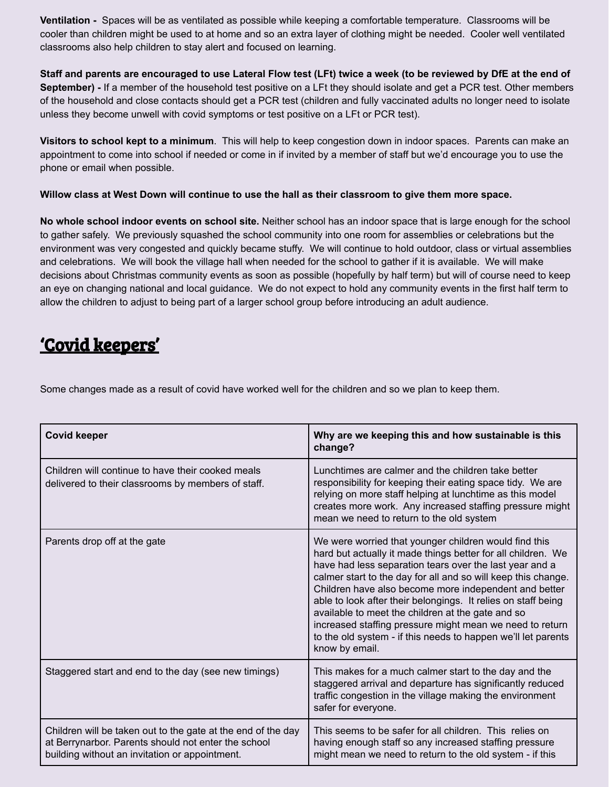**Ventilation -** Spaces will be as ventilated as possible while keeping a comfortable temperature. Classrooms will be cooler than children might be used to at home and so an extra layer of clothing might be needed. Cooler well ventilated classrooms also help children to stay alert and focused on learning.

Staff and parents are encouraged to use Lateral Flow test (LFt) twice a week (to be reviewed by DfE at the end of **September) -** If a member of the household test positive on a LFt they should isolate and get a PCR test. Other members of the household and close contacts should get a PCR test (children and fully vaccinated adults no longer need to isolate unless they become unwell with covid symptoms or test positive on a LFt or PCR test).

**Visitors to school kept to a minimum**. This will help to keep congestion down in indoor spaces. Parents can make an appointment to come into school if needed or come in if invited by a member of staff but we'd encourage you to use the phone or email when possible.

Willow class at West Down will continue to use the hall as their classroom to give them more space.

**No whole school indoor events on school site.** Neither school has an indoor space that is large enough for the school to gather safely. We previously squashed the school community into one room for assemblies or celebrations but the environment was very congested and quickly became stuffy. We will continue to hold outdoor, class or virtual assemblies and celebrations. We will book the village hall when needed for the school to gather if it is available. We will make decisions about Christmas community events as soon as possible (hopefully by half term) but will of course need to keep an eye on changing national and local guidance. We do not expect to hold any community events in the first half term to allow the children to adjust to being part of a larger school group before introducing an adult audience.

# 'Covid keepers'

Some changes made as a result of covid have worked well for the children and so we plan to keep them.

| <b>Covid keeper</b>                                                                                                                                                   | Why are we keeping this and how sustainable is this<br>change?                                                                                                                                                                                                                                                                                                                                                                                                                                                                                                                  |
|-----------------------------------------------------------------------------------------------------------------------------------------------------------------------|---------------------------------------------------------------------------------------------------------------------------------------------------------------------------------------------------------------------------------------------------------------------------------------------------------------------------------------------------------------------------------------------------------------------------------------------------------------------------------------------------------------------------------------------------------------------------------|
| Children will continue to have their cooked meals<br>delivered to their classrooms by members of staff.                                                               | Lunchtimes are calmer and the children take better<br>responsibility for keeping their eating space tidy. We are<br>relying on more staff helping at lunchtime as this model<br>creates more work. Any increased staffing pressure might<br>mean we need to return to the old system                                                                                                                                                                                                                                                                                            |
| Parents drop off at the gate                                                                                                                                          | We were worried that younger children would find this<br>hard but actually it made things better for all children. We<br>have had less separation tears over the last year and a<br>calmer start to the day for all and so will keep this change.<br>Children have also become more independent and better<br>able to look after their belongings. It relies on staff being<br>available to meet the children at the gate and so<br>increased staffing pressure might mean we need to return<br>to the old system - if this needs to happen we'll let parents<br>know by email. |
| Staggered start and end to the day (see new timings)                                                                                                                  | This makes for a much calmer start to the day and the<br>staggered arrival and departure has significantly reduced<br>traffic congestion in the village making the environment<br>safer for everyone.                                                                                                                                                                                                                                                                                                                                                                           |
| Children will be taken out to the gate at the end of the day<br>at Berrynarbor. Parents should not enter the school<br>building without an invitation or appointment. | This seems to be safer for all children. This relies on<br>having enough staff so any increased staffing pressure<br>might mean we need to return to the old system - if this                                                                                                                                                                                                                                                                                                                                                                                                   |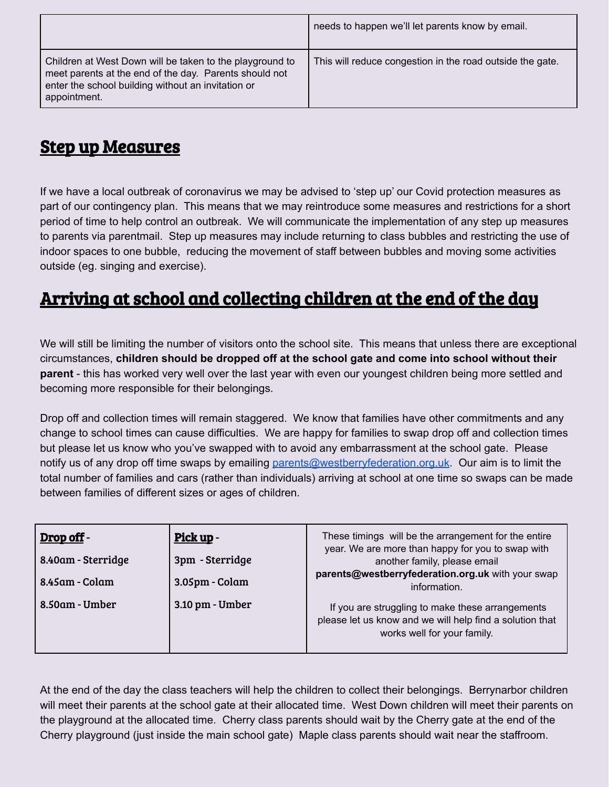|                                                                                                                                                                                          | needs to happen we'll let parents know by email.          |
|------------------------------------------------------------------------------------------------------------------------------------------------------------------------------------------|-----------------------------------------------------------|
| Children at West Down will be taken to the playground to<br>meet parents at the end of the day. Parents should not<br>enter the school building without an invitation or<br>appointment. | This will reduce congestion in the road outside the gate. |

# Step up Measures

If we have a local outbreak of coronavirus we may be advised to 'step up' our Covid protection measures as part of our contingency plan. This means that we may reintroduce some measures and restrictions for a short period of time to help control an outbreak. We will communicate the implementation of any step up measures to parents via parentmail. Step up measures may include returning to class bubbles and restricting the use of indoor spaces to one bubble, reducing the movement of staff between bubbles and moving some activities outside (eg. singing and exercise).

# Arriving at school and collecting children at the end of the day

We will still be limiting the number of visitors onto the school site. This means that unless there are exceptional circumstances, **children should be dropped off at the school gate and come into school without their parent** - this has worked very well over the last year with even our youngest children being more settled and becoming more responsible for their belongings.

Drop off and collection times will remain staggered. We know that families have other commitments and any change to school times can cause difficulties. We are happy for families to swap drop off and collection times but please let us know who you've swapped with to avoid any embarrassment at the school gate. Please notify us of any drop off time swaps by emailing [parents@westberryfederation.org.uk](mailto:parents@westberryfederation.org.uk). Our aim is to limit the total number of families and cars (rather than individuals) arriving at school at one time so swaps can be made between families of different sizes or ages of children.

| Drop off -                           | Pick up -                         | These timings will be the arrangement for the entire<br>year. We are more than happy for you to swap with                                   |
|--------------------------------------|-----------------------------------|---------------------------------------------------------------------------------------------------------------------------------------------|
| 8.40am - Sterridge<br>8.45am - Colam | 3pm - Sterridge<br>3.05pm - Colam | another family, please email<br>parents@westberryfederation.org.uk with your swap<br>information.                                           |
| 8.50am - Umber                       | 3.10 pm - Umber                   | If you are struggling to make these arrangements<br>please let us know and we will help find a solution that<br>works well for your family. |

At the end of the day the class teachers will help the children to collect their belongings. Berrynarbor children will meet their parents at the school gate at their allocated time. West Down children will meet their parents on the playground at the allocated time. Cherry class parents should wait by the Cherry gate at the end of the Cherry playground (just inside the main school gate) Maple class parents should wait near the staffroom.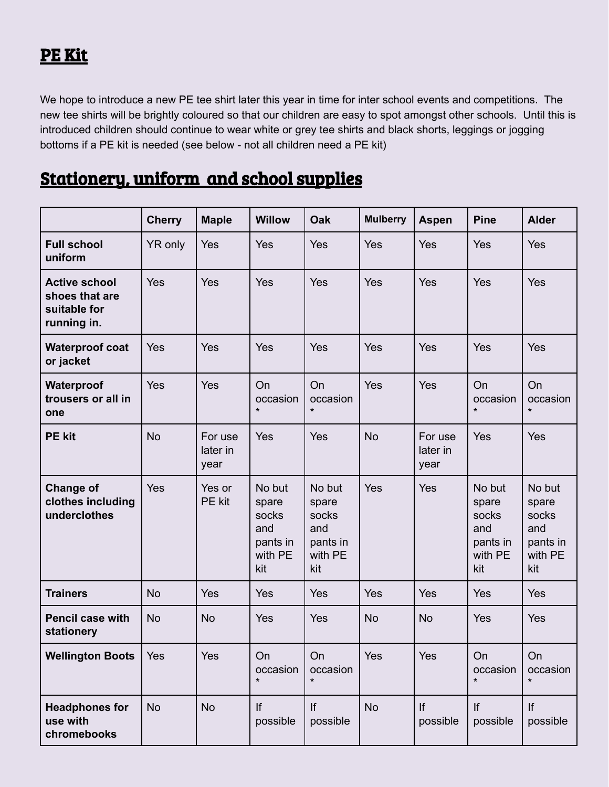# PE Kit

We hope to introduce a new PE tee shirt later this year in time for inter school events and competitions. The new tee shirts will be brightly coloured so that our children are easy to spot amongst other schools. Until this is introduced children should continue to wear white or grey tee shirts and black shorts, leggings or jogging bottoms if a PE kit is needed (see below - not all children need a PE kit)

# Stationery, uniform and school supplies

|                                                                       | <b>Cherry</b> | <b>Maple</b>                | <b>Willow</b>                                                 | <b>Oak</b>                                                    | <b>Mulberry</b> | <b>Aspen</b>                | <b>Pine</b>                                                   | <b>Alder</b>                                                  |
|-----------------------------------------------------------------------|---------------|-----------------------------|---------------------------------------------------------------|---------------------------------------------------------------|-----------------|-----------------------------|---------------------------------------------------------------|---------------------------------------------------------------|
| <b>Full school</b><br>uniform                                         | YR only       | Yes                         | Yes                                                           | Yes                                                           | Yes             | Yes                         | Yes                                                           | Yes                                                           |
| <b>Active school</b><br>shoes that are<br>suitable for<br>running in. | Yes           | Yes                         | Yes                                                           | Yes                                                           | Yes             | Yes                         | Yes                                                           | Yes                                                           |
| <b>Waterproof coat</b><br>or jacket                                   | Yes           | Yes                         | Yes                                                           | Yes                                                           | Yes             | Yes                         | Yes                                                           | Yes                                                           |
| Waterproof<br>trousers or all in<br>one                               | Yes           | Yes                         | On<br>occasion<br>$\star$                                     | On<br>occasion<br>$\star$                                     | Yes             | Yes                         | <b>On</b><br>occasion<br>$\star$                              | On<br>occasion<br>$\star$                                     |
| <b>PE kit</b>                                                         | <b>No</b>     | For use<br>later in<br>year | Yes                                                           | Yes                                                           | <b>No</b>       | For use<br>later in<br>year | Yes                                                           | Yes                                                           |
| <b>Change of</b><br>clothes including<br>underclothes                 | Yes           | Yes or<br>PE kit            | No but<br>spare<br>socks<br>and<br>pants in<br>with PE<br>kit | No but<br>spare<br>socks<br>and<br>pants in<br>with PE<br>kit | Yes             | Yes                         | No but<br>spare<br>socks<br>and<br>pants in<br>with PE<br>kit | No but<br>spare<br>socks<br>and<br>pants in<br>with PE<br>kit |
| <b>Trainers</b>                                                       | <b>No</b>     | Yes                         | Yes                                                           | <b>Yes</b>                                                    | Yes             | Yes                         | Yes                                                           | <b>Yes</b>                                                    |
| <b>Pencil case with</b><br>stationery                                 | <b>No</b>     | <b>No</b>                   | Yes                                                           | Yes                                                           | <b>No</b>       | <b>No</b>                   | Yes                                                           | Yes                                                           |
| <b>Wellington Boots</b>                                               | Yes           | Yes                         | On<br>occasion<br>$\star$                                     | On<br>occasion<br>$\star$                                     | Yes             | Yes                         | On<br>occasion<br>$\star$                                     | On<br>occasion<br>$\star$                                     |
| <b>Headphones for</b><br>use with<br>chromebooks                      | <b>No</b>     | <b>No</b>                   | If<br>possible                                                | If<br>possible                                                | <b>No</b>       | If<br>possible              | If<br>possible                                                | If<br>possible                                                |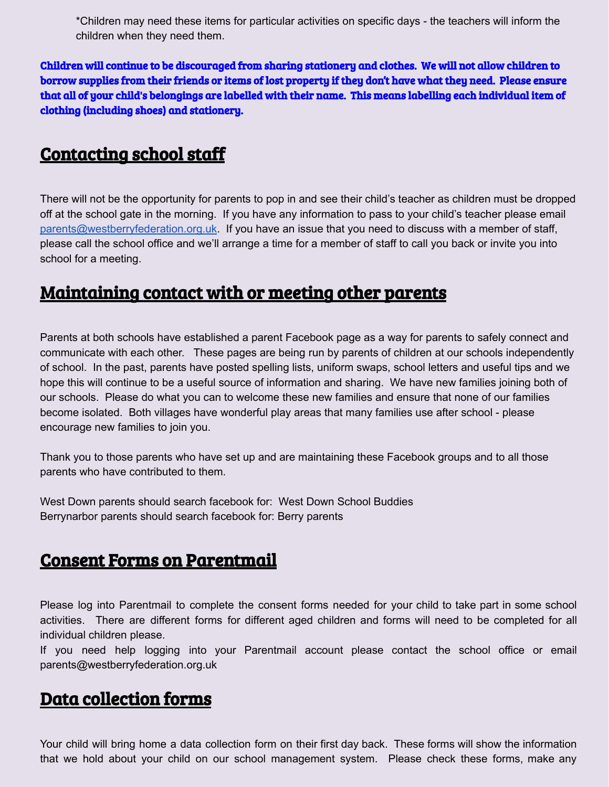\*Children may need these items for particular activities on specific days - the teachers will inform the children when they need them.

Children will continue to be discouraged from sharing stationery and clothes. We will not allow children to borrow supplies from their friends or items of lost property if they don't have what they need. Please ensure that all of your child's belongings are labelled with their name. This means labelling each individual item of clothing (including shoes) and stationery.

#### Contacting school staff

There will not be the opportunity for parents to pop in and see their child's teacher as children must be dropped off at the school gate in the morning. If you have any information to pass to your child's teacher please email [parents@westberryfederation.org.uk](mailto:parents@westberryfederation.org.uk). If you have an issue that you need to discuss with a member of staff, please call the school office and we'll arrange a time for a member of staff to call you back or invite you into school for a meeting.

### Maintaining contact with or meeting other parents

Parents at both schools have established a parent Facebook page as a way for parents to safely connect and communicate with each other. These pages are being run by parents of children at our schools independently of school. In the past, parents have posted spelling lists, uniform swaps, school letters and useful tips and we hope this will continue to be a useful source of information and sharing. We have new families joining both of our schools. Please do what you can to welcome these new families and ensure that none of our families become isolated. Both villages have wonderful play areas that many families use after school - please encourage new families to join you.

Thank you to those parents who have set up and are maintaining these Facebook groups and to all those parents who have contributed to them.

West Down parents should search facebook for: West Down School Buddies Berrynarbor parents should search facebook for: Berry parents

#### Consent Forms on Parentmail

Please log into Parentmail to complete the consent forms needed for your child to take part in some school activities. There are different forms for different aged children and forms will need to be completed for all individual children please.

If you need help logging into your Parentmail account please contact the school office or email parents@westberryfederation.org.uk

#### Data collection forms

Your child will bring home a data collection form on their first day back. These forms will show the information that we hold about your child on our school management system. Please check these forms, make any